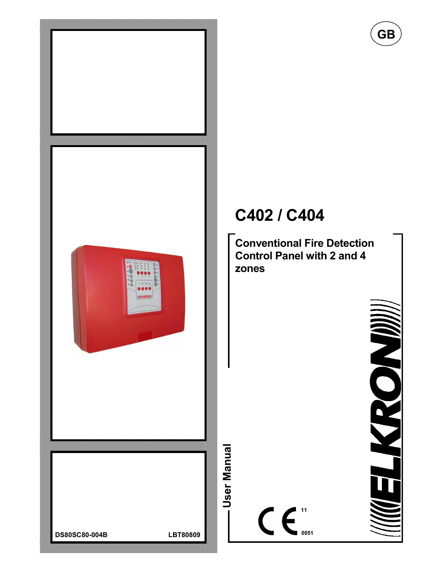

# C402 / C404

Conventional Fire Detection Control Panel with 2 and 4 zones

GB

NON

 $\bullet$  0051

11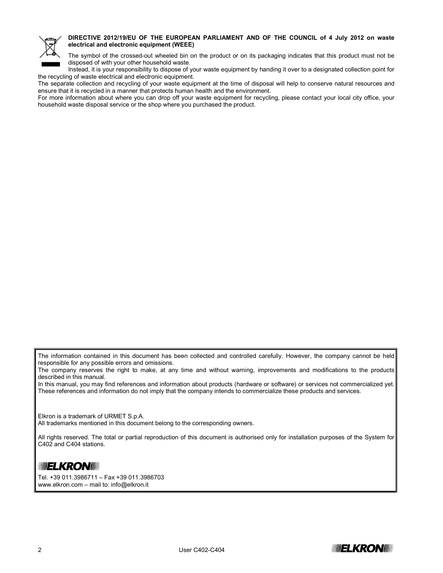

#### DIRECTIVE 2012/19/EU OF THE EUROPEAN PARLIAMENT AND OF THE COUNCIL of 4 July 2012 on waste electrical and electronic equipment (WEEE)

The symbol of the crossed-out wheeled bin on the product or on its packaging indicates that this product must not be disposed of with your other household waste.

Instead, it is your responsibility to dispose of your waste equipment by handing it over to a designated collection point for the recycling of waste electrical and electronic equipment.

The separate collection and recycling of your waste equipment at the time of disposal will help to conserve natural resources and ensure that it is recycled in a manner that protects human health and the environment.

For more information about where you can drop off your waste equipment for recycling, please contact your local city office, your household waste disposal service or the shop where you purchased the product.

The information contained in this document has been collected and controlled carefully. However, the company cannot be held responsible for any possible errors and omissions.

The company reserves the right to make, at any time and without warning, improvements and modifications to the products described in this manual.

In this manual, you may find references and information about products (hardware or software) or services not commercialized yet. These references and information do not imply that the company intends to commercialize these products and services.

Elkron is a trademark of URMET S.p.A.

All trademarks mentioned in this document belong to the corresponding owners.

All rights reserved. The total or partial reproduction of this document is authorised only for installation purposes of the System for C402 and C404 stations.

## **MUELKRONDU**

Tel. +39 011.3986711 – Fax +39 011.3986703 www.elkron.com – mail to: info@elkron.it

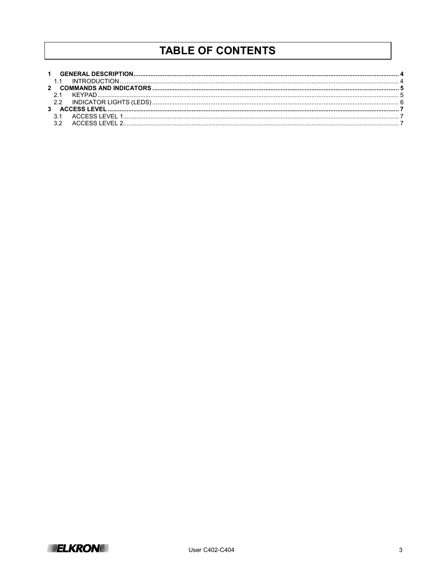# **TABLE OF CONTENTS**

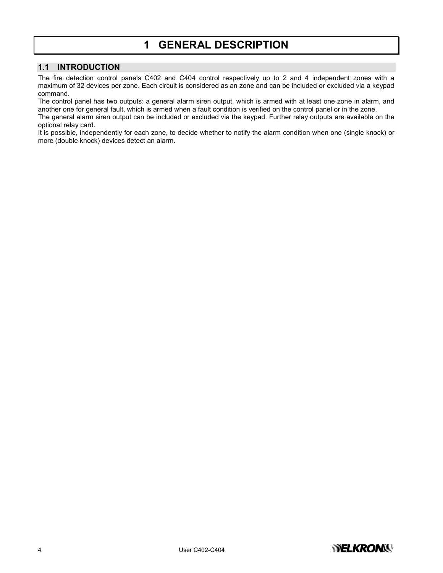## 1 GENERAL DESCRIPTION

#### 1.1 INTRODUCTION

The fire detection control panels C402 and C404 control respectively up to 2 and 4 independent zones with a maximum of 32 devices per zone. Each circuit is considered as an zone and can be included or excluded via a keypad command.

The control panel has two outputs: a general alarm siren output, which is armed with at least one zone in alarm, and another one for general fault, which is armed when a fault condition is verified on the control panel or in the zone.

The general alarm siren output can be included or excluded via the keypad. Further relay outputs are available on the optional relay card.

It is possible, independently for each zone, to decide whether to notify the alarm condition when one (single knock) or more (double knock) devices detect an alarm.

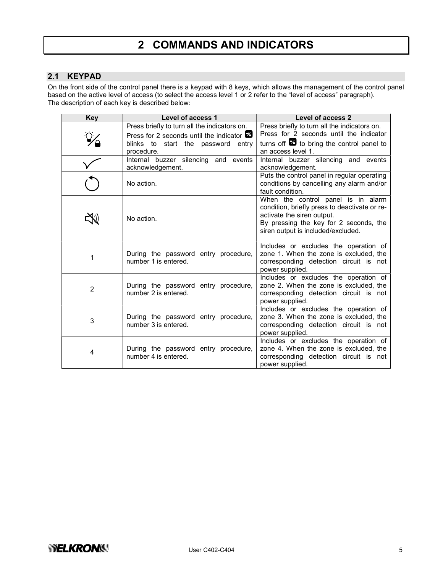# 2 COMMANDS AND INDICATORS

#### 2.1 KEYPAD

On the front side of the control panel there is a keypad with 8 keys, which allows the management of the control panel based on the active level of access (to select the access level 1 or 2 refer to the "level of access" paragraph). The description of each key is described below:

| <b>Key</b>     | <b>Level of access 1</b>                                     | <b>Level of access 2</b>                                                                                                                                                                          |
|----------------|--------------------------------------------------------------|---------------------------------------------------------------------------------------------------------------------------------------------------------------------------------------------------|
|                | Press briefly to turn all the indicators on.                 | Press briefly to turn all the indicators on.                                                                                                                                                      |
|                | Press for 2 seconds until the indicator $\mathbb Z$          | Press for 2 seconds until the indicator                                                                                                                                                           |
|                | blinks to start the password entry                           | turns off $\boxtimes$ to bring the control panel to                                                                                                                                               |
|                | procedure.                                                   | an access level 1.                                                                                                                                                                                |
|                | Internal buzzer silencing and events                         | Internal buzzer silencing and events                                                                                                                                                              |
|                | acknowledgement.                                             | acknowledgement.                                                                                                                                                                                  |
|                | No action.                                                   | Puts the control panel in regular operating<br>conditions by cancelling any alarm and/or<br>fault condition.                                                                                      |
|                | No action.                                                   | When the control panel is in alarm<br>condition, briefly press to deactivate or re-<br>activate the siren output.<br>By pressing the key for 2 seconds, the<br>siren output is included/excluded. |
| 1              | During the password entry procedure,<br>number 1 is entered. | Includes or excludes the operation of<br>zone 1. When the zone is excluded, the<br>corresponding detection circuit is not<br>power supplied.                                                      |
| $\overline{2}$ | During the password entry procedure,<br>number 2 is entered. | Includes or excludes the operation of<br>zone 2. When the zone is excluded, the<br>corresponding detection circuit is not<br>power supplied.                                                      |
| 3              | During the password entry procedure,<br>number 3 is entered. | Includes or excludes the operation of<br>zone 3. When the zone is excluded, the<br>corresponding detection circuit is not<br>power supplied.                                                      |
| 4              | During the password entry procedure,<br>number 4 is entered. | Includes or excludes the operation of<br>zone 4. When the zone is excluded, the<br>corresponding detection circuit is not<br>power supplied.                                                      |

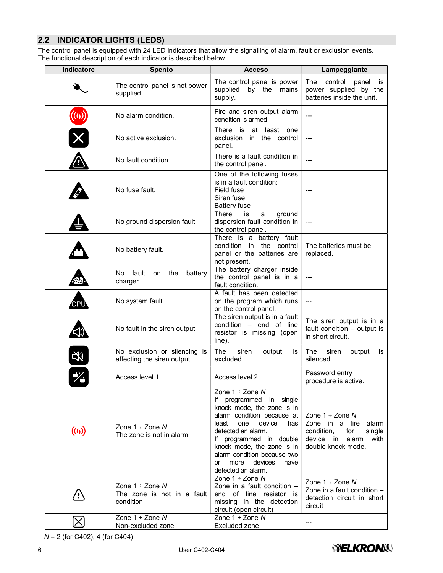## 2.2 INDICATOR LIGHTS (LEDS)

The control panel is equipped with 24 LED indicators that allow the signalling of alarm, fault or exclusion events. The functional description of each indicator is described below.

| Indicatore | <b>Spento</b>                                                   | <b>Acceso</b>                                                                                                                                                                                                                                                                                                                   | Lampeggiante                                                                                                                       |
|------------|-----------------------------------------------------------------|---------------------------------------------------------------------------------------------------------------------------------------------------------------------------------------------------------------------------------------------------------------------------------------------------------------------------------|------------------------------------------------------------------------------------------------------------------------------------|
|            | The control panel is not power<br>supplied.                     | The control panel is power<br>supplied<br>by the<br>mains<br>supply.                                                                                                                                                                                                                                                            | The<br>control<br>panel<br>is<br>power supplied by the<br>batteries inside the unit.                                               |
| ((0))      | No alarm condition.                                             | Fire and siren output alarm<br>condition is armed.                                                                                                                                                                                                                                                                              | ---                                                                                                                                |
|            | No active exclusion.                                            | There is<br>at least one<br>exclusion<br>in the control<br>panel.                                                                                                                                                                                                                                                               |                                                                                                                                    |
|            | No fault condition.                                             | There is a fault condition in<br>the control panel.                                                                                                                                                                                                                                                                             |                                                                                                                                    |
|            | No fuse fault.                                                  | One of the following fuses<br>is in a fault condition:<br>Field fuse<br>Siren fuse<br><b>Battery fuse</b>                                                                                                                                                                                                                       |                                                                                                                                    |
|            | No ground dispersion fault.                                     | There<br>ground<br>is<br>a<br>dispersion fault condition in<br>the control panel.                                                                                                                                                                                                                                               | ---                                                                                                                                |
|            | No battery fault.                                               | There is a battery fault<br>condition in the control<br>panel or the batteries are<br>not present.                                                                                                                                                                                                                              | The batteries must be<br>replaced.                                                                                                 |
|            | No fault<br>the<br>on<br>battery<br>charger.                    | The battery charger inside<br>the control panel is in a<br>fault condition.                                                                                                                                                                                                                                                     | ---                                                                                                                                |
| CPU        | No system fault.                                                | A fault has been detected<br>on the program which runs<br>on the control panel.                                                                                                                                                                                                                                                 | ---                                                                                                                                |
|            | No fault in the siren output.                                   | The siren output is in a fault<br>condition $-$ end of line<br>resistor is missing (open<br>line).                                                                                                                                                                                                                              | The siren output is in a<br>fault condition - output is<br>in short circuit.                                                       |
| 安          | No exclusion or silencing is<br>affecting the siren output.     | The<br>siren<br>output<br>is<br>excluded                                                                                                                                                                                                                                                                                        | The<br>siren<br>output<br>is<br>silenced                                                                                           |
| ╳          | Access level 1.                                                 | Access level 2.                                                                                                                                                                                                                                                                                                                 | Password entry<br>procedure is active.                                                                                             |
| (0)        | Zone $1 \div$ Zone N<br>The zone is not in alarm                | Zone $1 \div$ Zone N<br>If programmed in<br>single<br>knock mode, the zone is in<br>alarm condition because at<br>device<br>least<br>one<br>has<br>detected an alarm.<br>If programmed in double<br>knock mode, the zone is in<br>alarm condition because two<br>more<br>devices<br><sub>or</sub><br>have<br>detected an alarm. | Zone $1 \div$ Zone N<br>Zone in a fire<br>alarm<br>condition,<br>single<br>for<br>device in<br>alarm<br>with<br>double knock mode. |
|            | Zone $1 \div$ Zone N<br>The zone is not in a fault<br>condition | Zone $1 \div$ Zone N<br>Zone in a fault condition -<br>end of line resistor is<br>missing in the detection<br>circuit (open circuit)                                                                                                                                                                                            | Zone $1 \div$ Zone N<br>Zone in a fault condition $-$<br>detection circuit in short<br>circuit                                     |
|            | Zone $1 \div$ Zone N<br>Non-excluded zone                       | Zone $1 \div$ Zone N<br>Excluded zone                                                                                                                                                                                                                                                                                           | ---                                                                                                                                |

N = 2 (for C402), 4 (for C404)

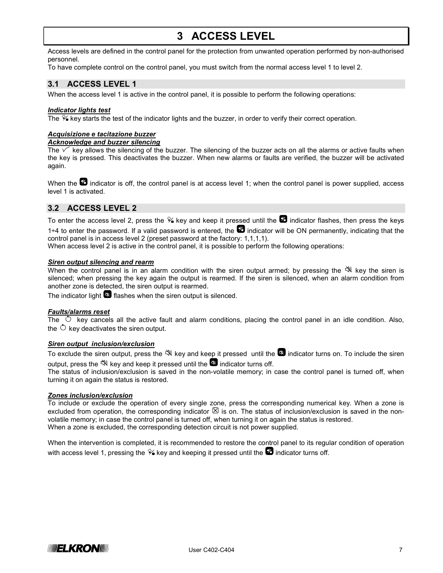# 3 ACCESS LEVEL

Access levels are defined in the control panel for the protection from unwanted operation performed by non-authorised personnel.

To have complete control on the control panel, you must switch from the normal access level 1 to level 2.

#### 3.1 ACCESS LEVEL 1

When the access level 1 is active in the control panel, it is possible to perform the following operations:

#### Indicator lights test

The  $\mathcal{V}_k$  key starts the test of the indicator lights and the buzzer, in order to verify their correct operation.

#### Acquisizione e tacitazione buzzer

**Acknowledge and buzzer silencing** 

The  $\sqrt{\ }$  key allows the silencing of the buzzer. The silencing of the buzzer acts on all the alarms or active faults when the key is pressed. This deactivates the buzzer. When new alarms or faults are verified, the buzzer will be activated again.

When the  $\mathbb Z$  indicator is off, the control panel is at access level 1; when the control panel is power supplied, access level 1 is activated.

#### 3.2 ACCESS LEVEL 2

To enter the access level 2, press the  $\%$  key and keep it pressed until the  $\Box$  indicator flashes, then press the keys 1÷4 to enter the password. If a valid password is entered, the  $\boxtimes$  indicator will be ON permanently, indicating that the control panel is in access level 2 (preset password at the factory: 1,1,1,1).

When access level 2 is active in the control panel, it is possible to perform the following operations:

#### Siren output silencing and rearm

When the control panel is in an alarm condition with the siren output armed; by pressing the  $\mathbb{N}$  key the siren is silenced; when pressing the key again the output is rearmed. If the siren is silenced, when an alarm condition from another zone is detected, the siren output is rearmed.

The indicator light  $\blacksquare$  flashes when the siren output is silenced.

#### Faults/alarms reset

The  $\circlearrowright$  key cancels all the active fault and alarm conditions, placing the control panel in an idle condition. Also, the  $\circlearrowright$  key deactivates the siren output.

#### Siren output inclusion/exclusion

To exclude the siren output, press the  $\aleph$  key and keep it pressed until the  $\aleph$  indicator turns on. To include the siren output, press the  $\mathbb{N}$  key and keep it pressed until the  $\blacksquare$  indicator turns off.

The status of inclusion/exclusion is saved in the non-volatile memory; in case the control panel is turned off, when turning it on again the status is restored.

#### Zones inclusion/exclusion

To include or exclude the operation of every single zone, press the corresponding numerical key. When a zone is excluded from operation, the corresponding indicator  $\boxtimes$  is on. The status of inclusion/exclusion is saved in the nonvolatile memory; in case the control panel is turned off, when turning it on again the status is restored. When a zone is excluded, the corresponding detection circuit is not power supplied.

When the intervention is completed, it is recommended to restore the control panel to its regular condition of operation with access level 1, pressing the  $\mathcal{V}_4$  key and keeping it pressed until the  $\mathbb Z$  indicator turns off.